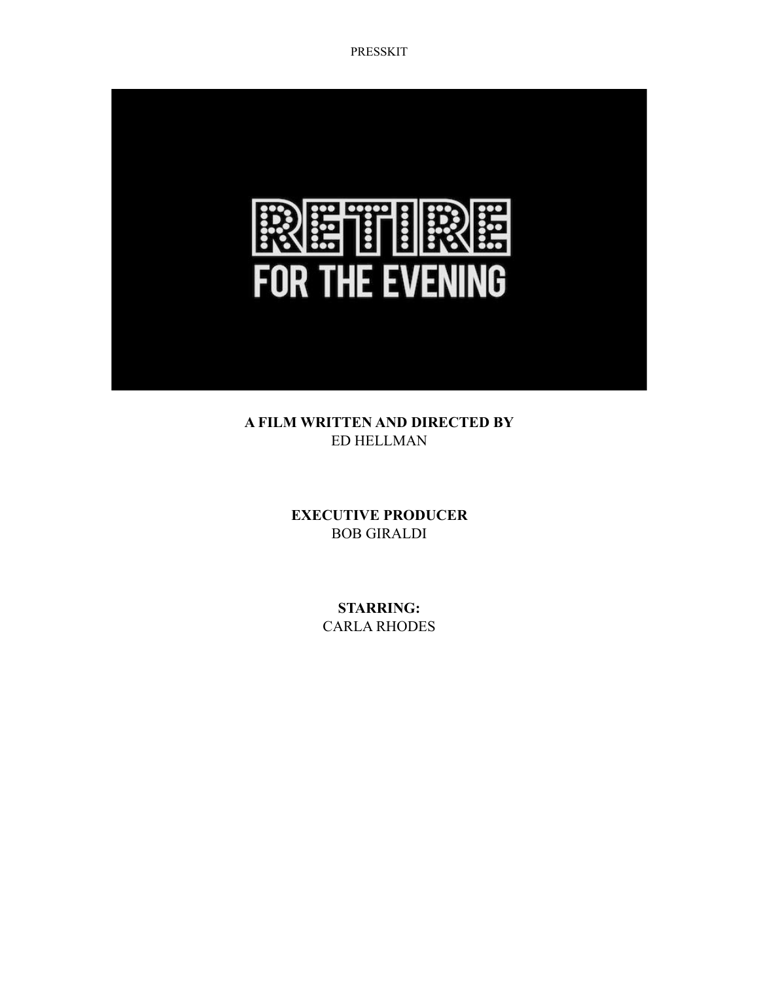# **REAL PROPERTY**<br>FOR THE EVENING

## **A FILM WRITTEN AND DIRECTED BY** ED HELLMAN

**EXECUTIVE PRODUCER** BOB GIRALDI

> **STARRING:** CARLA RHODES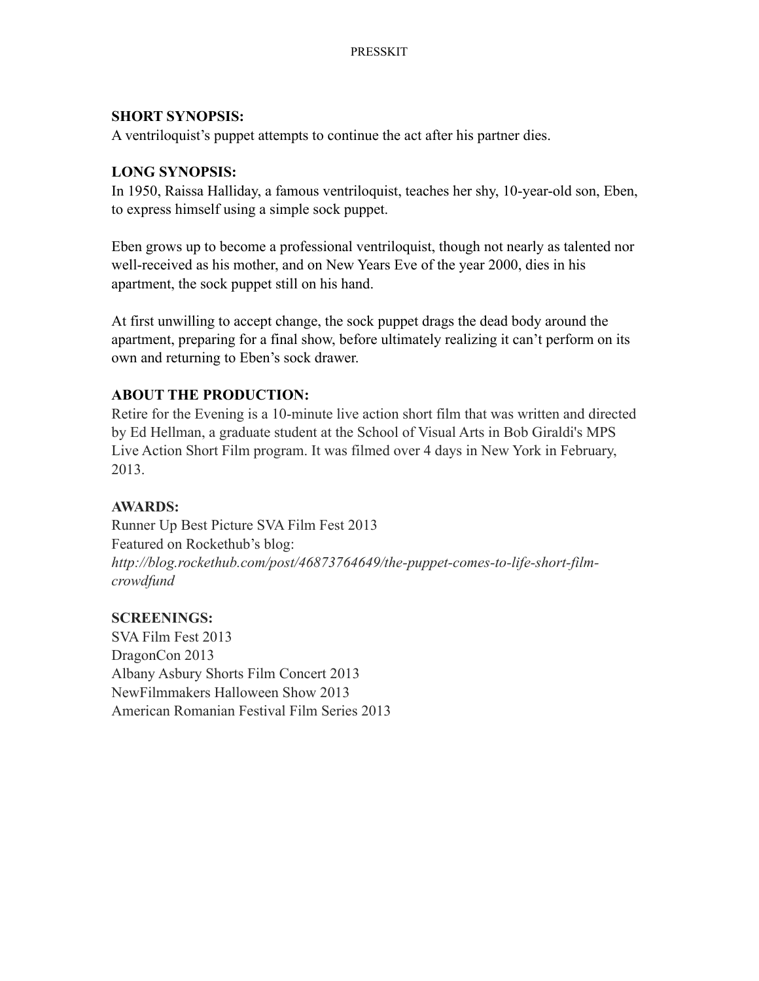## **SHORT SYNOPSIS:**

A ventriloquist's puppet attempts to continue the act after his partner dies.

## **LONG SYNOPSIS:**

In 1950, Raissa Halliday, a famous ventriloquist, teaches her shy, 10-year-old son, Eben, to express himself using a simple sock puppet.

Eben grows up to become a professional ventriloquist, though not nearly as talented nor well-received as his mother, and on New Years Eve of the year 2000, dies in his apartment, the sock puppet still on his hand.

At first unwilling to accept change, the sock puppet drags the dead body around the apartment, preparing for a final show, before ultimately realizing it can't perform on its own and returning to Eben's sock drawer.

# **ABOUT THE PRODUCTION:**

Retire for the Evening is a 10-minute live action short film that was written and directed by Ed Hellman, a graduate student at the School of Visual Arts in Bob Giraldi's MPS Live Action Short Film program. It was filmed over 4 days in New York in February, 2013.

## **AWARDS:**

Runner Up Best Picture SVA Film Fest 2013 Featured on Rockethub's blog: *http://blog.rockethub.com/post/46873764649/the-puppet-comes-to-life-short-filmcrowdfund*

## **SCREENINGS:**

SVA Film Fest 2013 DragonCon 2013 Albany Asbury Shorts Film Concert 2013 NewFilmmakers Halloween Show 2013 American Romanian Festival Film Series 2013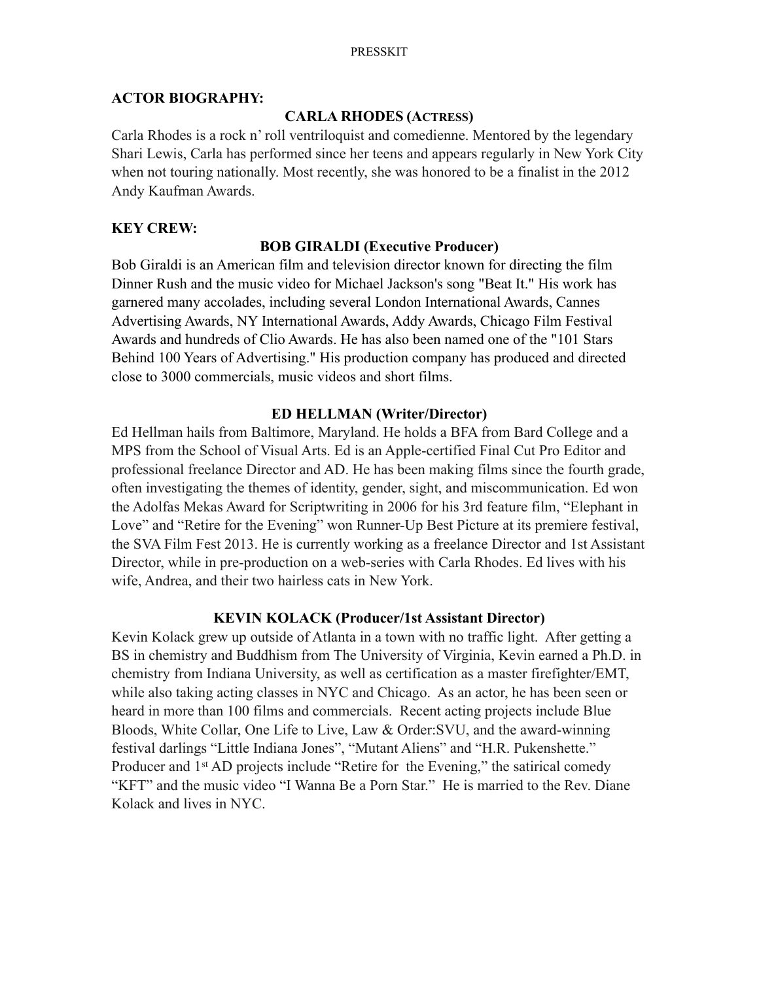#### **ACTOR BIOGRAPHY:**

### **CARLA RHODES (ACTRESS)**

Carla Rhodes is a rock n' roll ventriloquist and comedienne. Mentored by the legendary Shari Lewis, Carla has performed since her teens and appears regularly in New York City when not touring nationally. Most recently, she was honored to be a finalist in the 2012 Andy Kaufman Awards.

#### **KEY CREW:**

#### **BOB GIRALDI (Executive Producer)**

Bob Giraldi is an American [film](http://en.wikipedia.org/wiki/Film_director) and [television director](http://en.wikipedia.org/wiki/Television_director) known for directing the film [Dinner Rush](http://en.wikipedia.org/wiki/Dinner_Rush) and the [music video](http://en.wikipedia.org/wiki/Music_video) for [Michael Jackson](http://en.wikipedia.org/wiki/Michael_Jackson)'s song ["Beat It](http://en.wikipedia.org/wiki/Beat_It)." His work has garnered many accolades, including several [London International Awards,](http://www.liaawards.com/) [Cannes](http://www.canneslions.com/)  [Advertising Awards](http://www.canneslions.com/), NY International Awards, [Addy Awards,](http://en.wikipedia.org/wiki/Addy_Awards) [Chicago Film Festival](http://www.chicagofilmfestival.org/cgi-bin/WebObjects/CIFFSite.woa/wa/pages/Home)  [Awards](http://www.chicagofilmfestival.org/cgi-bin/WebObjects/CIFFSite.woa/wa/pages/Home) and hundreds of [Clio Awards.](http://en.wikipedia.org/wiki/Clio_Awards) He has also been named one of the "101 Stars Behind 100 Years of Advertising." His production company has produced and directed close to 3000 commercials, music videos and short films.

### **ED HELLMAN (Writer/Director)**

Ed Hellman hails from Baltimore, Maryland. He holds a BFA from Bard College and a MPS from the School of Visual Arts. Ed is an Apple-certified Final Cut Pro Editor and professional freelance Director and AD. He has been making films since the fourth grade, often investigating the themes of identity, gender, sight, and miscommunication. Ed won the Adolfas Mekas Award for Scriptwriting in 2006 for his 3rd feature film, "Elephant in Love" and "Retire for the Evening" won Runner-Up Best Picture at its premiere festival, the SVA Film Fest 2013. He is currently working as a freelance Director and 1st Assistant Director, while in pre-production on a web-series with Carla Rhodes. Ed lives with his wife, Andrea, and their two hairless cats in New York.

#### **KEVIN KOLACK (Producer/1st Assistant Director)**

Kevin Kolack grew up outside of Atlanta in a town with no traffic light. After getting a BS in chemistry and Buddhism from The University of Virginia, Kevin earned a Ph.D. in chemistry from Indiana University, as well as certification as a master firefighter/EMT, while also taking acting classes in NYC and Chicago. As an actor, he has been seen or heard in more than 100 films and commercials. Recent acting projects include Blue Bloods, White Collar, One Life to Live, Law & Order:SVU, and the award-winning festival darlings "Little Indiana Jones", "Mutant Aliens" and "H.R. Pukenshette." Producer and 1<sup>st</sup> AD projects include "Retire for the Evening," the satirical comedy "KFT" and the music video "I Wanna Be a Porn Star." He is married to the Rev. Diane Kolack and lives in NYC.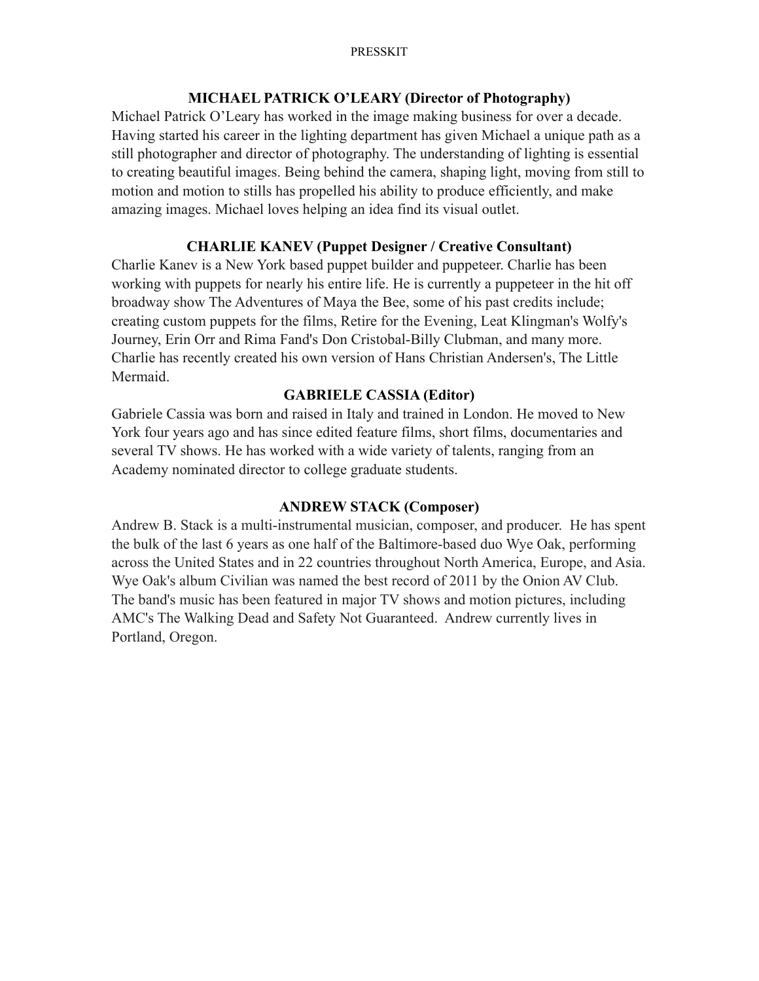#### **MICHAEL PATRICK O'LEARY (Director of Photography)**

Michael Patrick O'Leary has worked in the image making business for over a decade. Having started his career in the lighting department has given Michael a unique path as a still photographer and director of photography. The understanding of lighting is essential to creating beautiful images. Being behind the camera, shaping light, moving from still to motion and motion to stills has propelled his ability to produce efficiently, and make amazing images. Michael loves helping an idea find its visual outlet.

### **CHARLIE KANEV (Puppet Designer / Creative Consultant)**

Charlie Kanev is a New York based puppet builder and puppeteer. Charlie has been working with puppets for nearly his entire life. He is currently a puppeteer in the hit off broadway show The Adventures of Maya the Bee, some of his past credits include; creating custom puppets for the films, Retire for the Evening, Leat Klingman's Wolfy's Journey, Erin Orr and Rima Fand's Don Cristobal-Billy Clubman, and many more. Charlie has recently created his own version of Hans Christian Andersen's, The Little Mermaid.

## **GABRIELE CASSIA (Editor)**

Gabriele Cassia was born and raised in Italy and trained in London. He moved to New York four years ago and has since edited feature films, short films, documentaries and several TV shows. He has worked with a wide variety of talents, ranging from an Academy nominated director to college graduate students.

## **ANDREW STACK (Composer)**

Andrew B. Stack is a multi-instrumental musician, composer, and producer. He has spent the bulk of the last 6 years as one half of the Baltimore-based duo Wye Oak, performing across the United States and in 22 countries throughout North America, Europe, and Asia. Wye Oak's album Civilian was named the best record of 2011 by the Onion AV Club. The band's music has been featured in major TV shows and motion pictures, including AMC's The Walking Dead and Safety Not Guaranteed. Andrew currently lives in Portland, Oregon.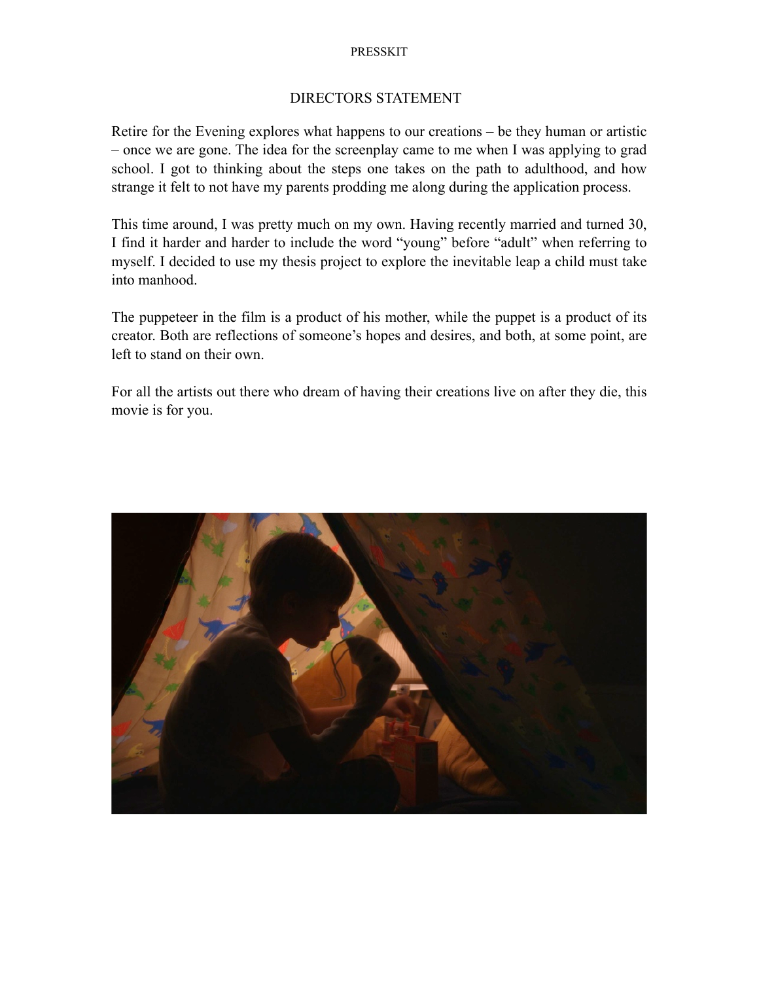#### DIRECTORS STATEMENT

Retire for the Evening explores what happens to our creations – be they human or artistic – once we are gone. The idea for the screenplay came to me when I was applying to grad school. I got to thinking about the steps one takes on the path to adulthood, and how strange it felt to not have my parents prodding me along during the application process.

This time around, I was pretty much on my own. Having recently married and turned 30, I find it harder and harder to include the word "young" before "adult" when referring to myself. I decided to use my thesis project to explore the inevitable leap a child must take into manhood.

The puppeteer in the film is a product of his mother, while the puppet is a product of its creator. Both are reflections of someone's hopes and desires, and both, at some point, are left to stand on their own.

For all the artists out there who dream of having their creations live on after they die, this movie is for you.

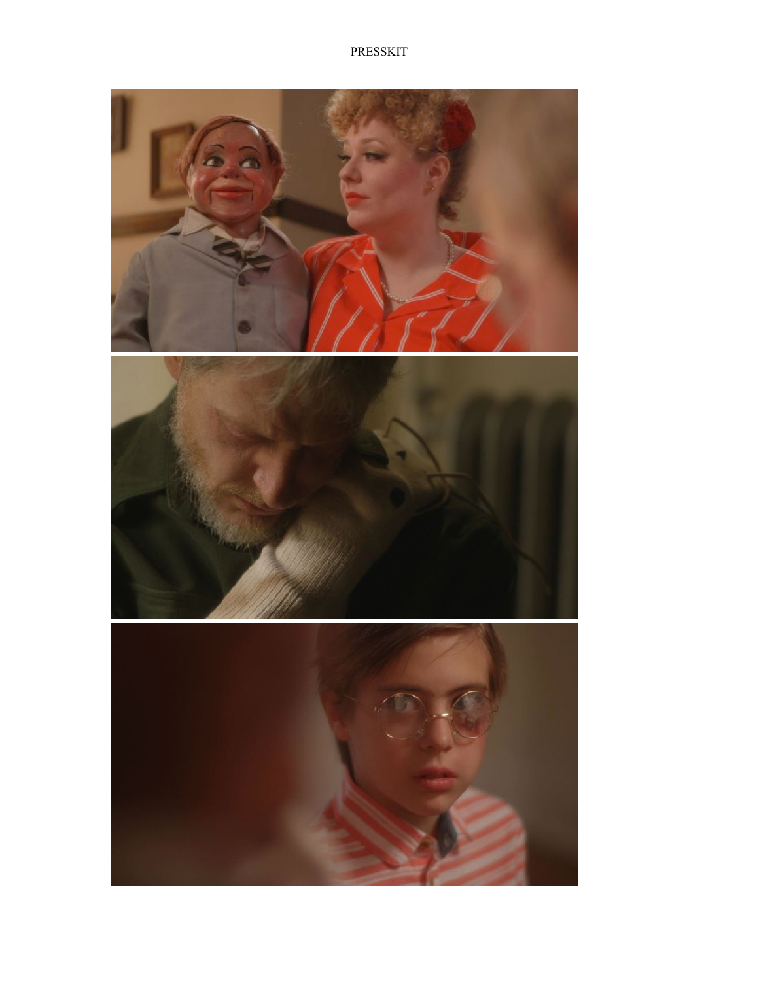